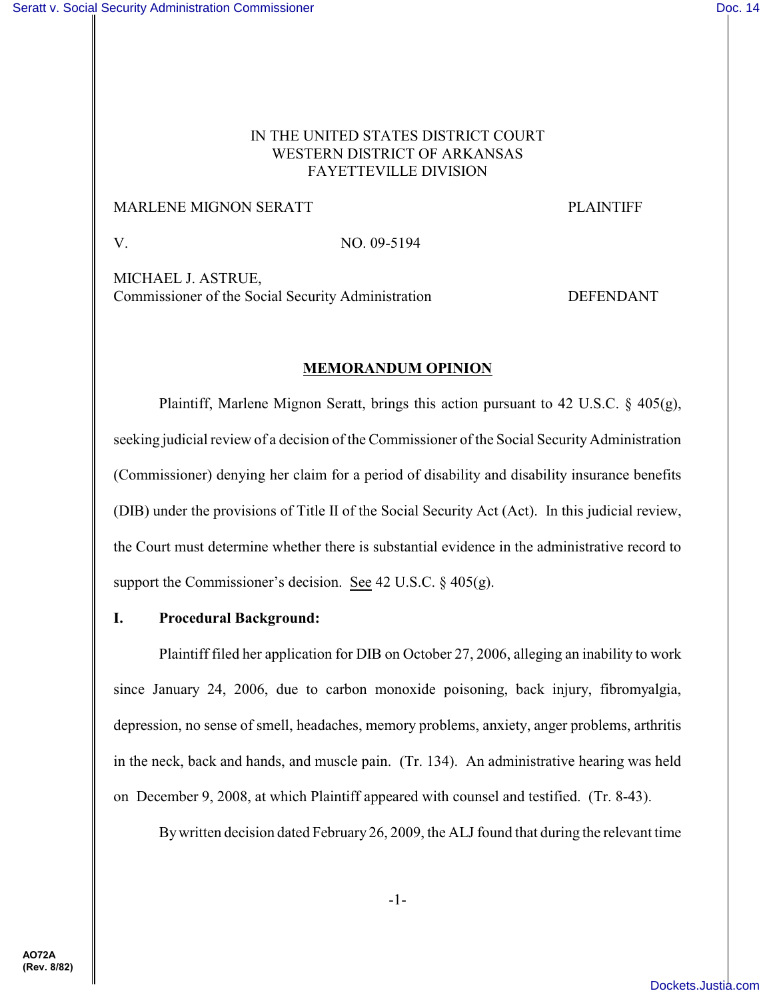## IN THE UNITED STATES DISTRICT COURT WESTERN DISTRICT OF ARKANSAS FAYETTEVILLE DIVISION

#### MARLENE MIGNON SERATT PLAINTIFF

V. NO. 09-5194

MICHAEL J. ASTRUE, Commissioner of the Social Security Administration DEFENDANT

#### **MEMORANDUM OPINION**

Plaintiff, Marlene Mignon Seratt, brings this action pursuant to 42 U.S.C.  $\S$  405(g), seeking judicial review of a decision of the Commissioner of the Social Security Administration (Commissioner) denying her claim for a period of disability and disability insurance benefits (DIB) under the provisions of Title II of the Social Security Act (Act). In this judicial review, the Court must determine whether there is substantial evidence in the administrative record to support the Commissioner's decision. See 42 U.S.C.  $\S$  405(g).

# **I. Procedural Background:**

Plaintiff filed her application for DIB on October 27, 2006, alleging an inability to work since January 24, 2006, due to carbon monoxide poisoning, back injury, fibromyalgia, depression, no sense of smell, headaches, memory problems, anxiety, anger problems, arthritis in the neck, back and hands, and muscle pain. (Tr. 134). An administrative hearing was held on December 9, 2008, at which Plaintiff appeared with counsel and testified. (Tr. 8-43).

By written decision dated February 26, 2009, the ALJ found that during the relevant time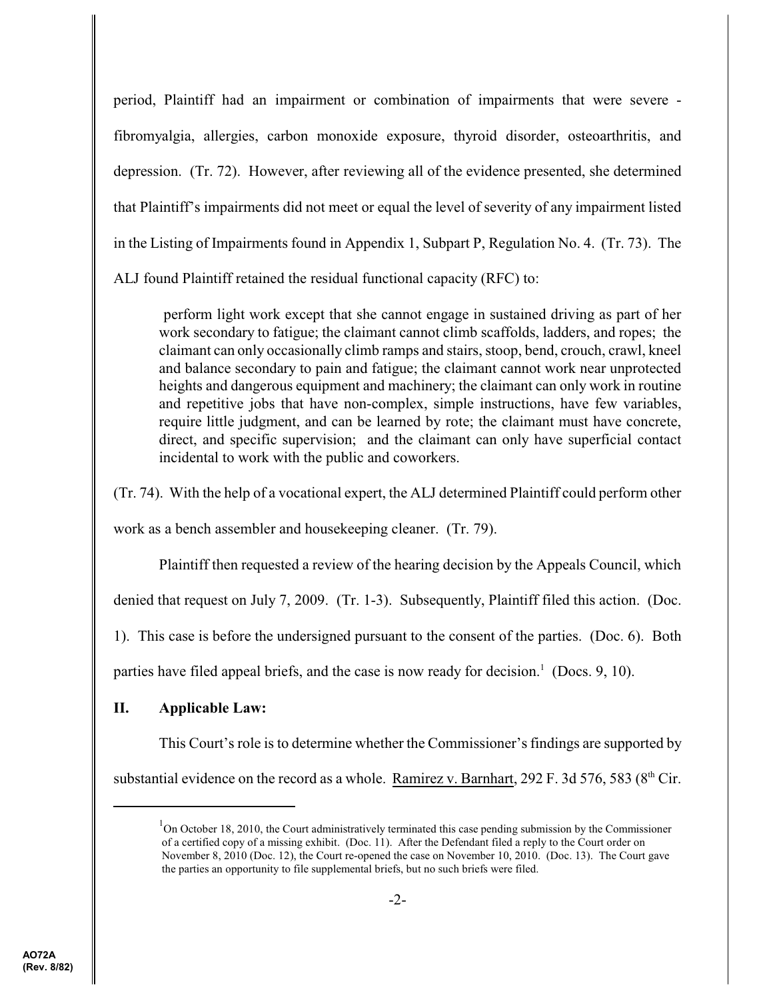period, Plaintiff had an impairment or combination of impairments that were severe fibromyalgia, allergies, carbon monoxide exposure, thyroid disorder, osteoarthritis, and depression. (Tr. 72). However, after reviewing all of the evidence presented, she determined that Plaintiff's impairments did not meet or equal the level of severity of any impairment listed in the Listing of Impairments found in Appendix 1, Subpart P, Regulation No. 4. (Tr. 73). The ALJ found Plaintiff retained the residual functional capacity (RFC) to:

perform light work except that she cannot engage in sustained driving as part of her work secondary to fatigue; the claimant cannot climb scaffolds, ladders, and ropes; the claimant can only occasionally climb ramps and stairs, stoop, bend, crouch, crawl, kneel and balance secondary to pain and fatigue; the claimant cannot work near unprotected heights and dangerous equipment and machinery; the claimant can only work in routine and repetitive jobs that have non-complex, simple instructions, have few variables, require little judgment, and can be learned by rote; the claimant must have concrete, direct, and specific supervision; and the claimant can only have superficial contact incidental to work with the public and coworkers.

(Tr. 74). With the help of a vocational expert, the ALJ determined Plaintiff could perform other work as a bench assembler and housekeeping cleaner. (Tr. 79).

Plaintiff then requested a review of the hearing decision by the Appeals Council, which

denied that request on July 7, 2009. (Tr. 1-3). Subsequently, Plaintiff filed this action. (Doc.

1). This case is before the undersigned pursuant to the consent of the parties. (Doc. 6). Both

parties have filed appeal briefs, and the case is now ready for decision.<sup>1</sup> (Docs. 9, 10).

# **II. Applicable Law:**

This Court's role is to determine whether the Commissioner's findings are supported by substantial evidence on the record as a whole. Ramirez v. Barnhart, 292 F. 3d 576, 583 ( $8<sup>th</sup>$  Cir.

 $1$ On October 18, 2010, the Court administratively terminated this case pending submission by the Commissioner of a certified copy of a missing exhibit. (Doc. 11). After the Defendant filed a reply to the Court order on November 8, 2010 (Doc. 12), the Court re-opened the case on November 10, 2010. (Doc. 13). The Court gave the parties an opportunity to file supplemental briefs, but no such briefs were filed.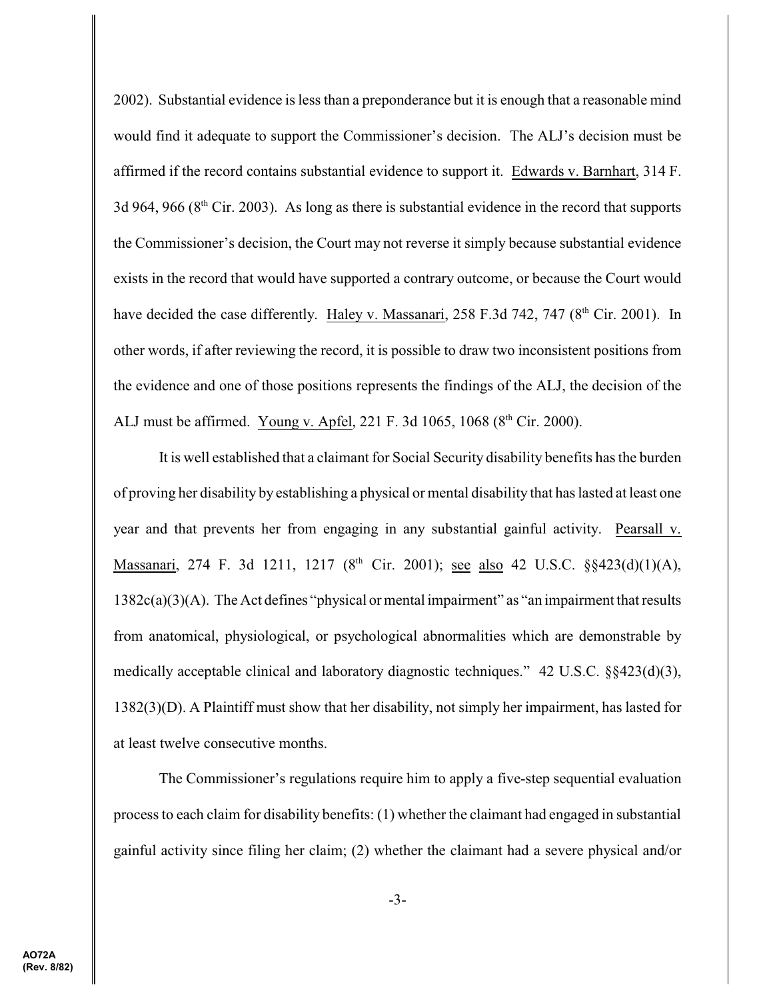2002). Substantial evidence is less than a preponderance but it is enough that a reasonable mind would find it adequate to support the Commissioner's decision. The ALJ's decision must be affirmed if the record contains substantial evidence to support it. Edwards v. Barnhart, 314 F. 3d 964, 966 ( $8<sup>th</sup>$  Cir. 2003). As long as there is substantial evidence in the record that supports the Commissioner's decision, the Court may not reverse it simply because substantial evidence exists in the record that would have supported a contrary outcome, or because the Court would have decided the case differently. Haley v. Massanari, 258 F.3d 742, 747 (8<sup>th</sup> Cir. 2001). In other words, if after reviewing the record, it is possible to draw two inconsistent positions from the evidence and one of those positions represents the findings of the ALJ, the decision of the ALJ must be affirmed. Young v. Apfel, 221 F. 3d 1065, 1068 ( $8<sup>th</sup>$  Cir. 2000).

It is well established that a claimant for Social Security disability benefits has the burden of proving her disability by establishing a physical or mental disability that has lasted at least one year and that prevents her from engaging in any substantial gainful activity. Pearsall v. Massanari, 274 F. 3d 1211, 1217 (8<sup>th</sup> Cir. 2001); <u>see also</u> 42 U.S.C. §§423(d)(1)(A), 1382c(a)(3)(A). The Act defines "physical or mental impairment" as "an impairment that results from anatomical, physiological, or psychological abnormalities which are demonstrable by medically acceptable clinical and laboratory diagnostic techniques." 42 U.S.C. §§423(d)(3), 1382(3)(D). A Plaintiff must show that her disability, not simply her impairment, has lasted for at least twelve consecutive months.

The Commissioner's regulations require him to apply a five-step sequential evaluation process to each claim for disability benefits: (1) whether the claimant had engaged in substantial gainful activity since filing her claim; (2) whether the claimant had a severe physical and/or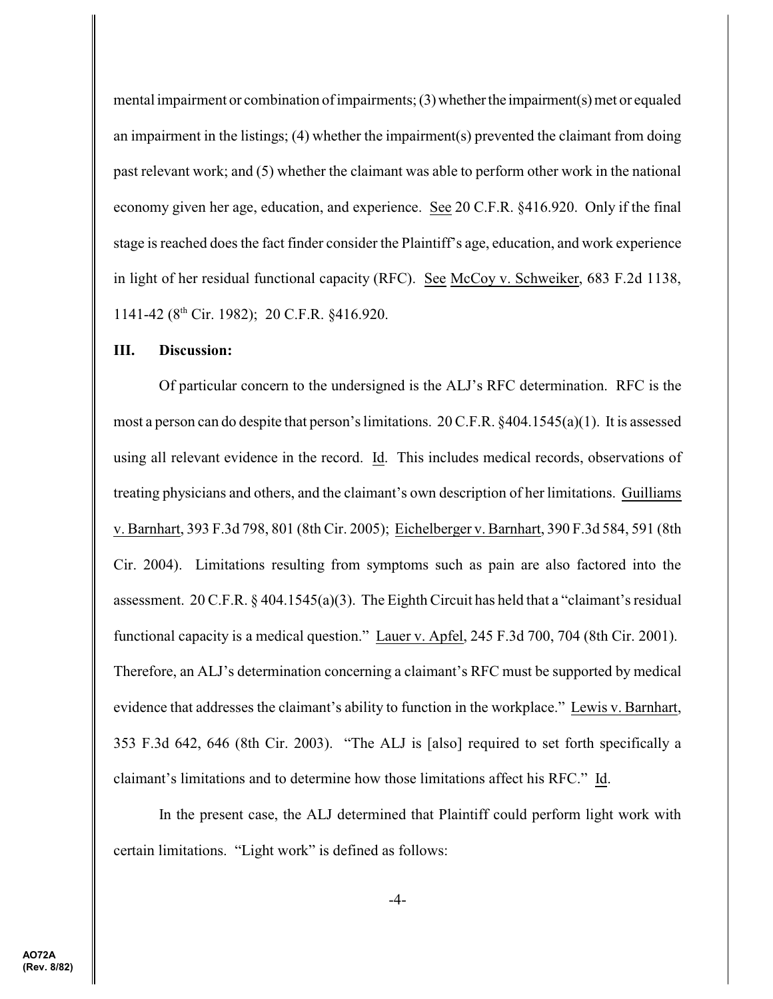mental impairment or combination of impairments;  $(3)$  whether the impairment(s) met or equaled an impairment in the listings; (4) whether the impairment(s) prevented the claimant from doing past relevant work; and (5) whether the claimant was able to perform other work in the national economy given her age, education, and experience. See 20 C.F.R. §416.920. Only if the final stage is reached does the fact finder consider the Plaintiff's age, education, and work experience in light of her residual functional capacity (RFC). See McCoy v. Schweiker, 683 F.2d 1138, 1141-42 ( $8<sup>th</sup>$  Cir. 1982); 20 C.F.R. §416.920.

#### **III. Discussion:**

Of particular concern to the undersigned is the ALJ's RFC determination. RFC is the most a person can do despite that person's limitations. 20 C.F.R. §404.1545(a)(1). It is assessed using all relevant evidence in the record. Id. This includes medical records, observations of treating physicians and others, and the claimant's own description of her limitations. Guilliams v. Barnhart, 393 F.3d 798, 801 (8th Cir. 2005); Eichelberger v. Barnhart, 390 F.3d 584, 591 (8th Cir. 2004). Limitations resulting from symptoms such as pain are also factored into the assessment. 20 C.F.R. § 404.1545(a)(3). The Eighth Circuit has held that a "claimant's residual functional capacity is a medical question." Lauer v. Apfel, 245 F.3d 700, 704 (8th Cir. 2001). Therefore, an ALJ's determination concerning a claimant's RFC must be supported by medical evidence that addresses the claimant's ability to function in the workplace." Lewis v. Barnhart, 353 F.3d 642, 646 (8th Cir. 2003). "The ALJ is [also] required to set forth specifically a claimant's limitations and to determine how those limitations affect his RFC." Id.

In the present case, the ALJ determined that Plaintiff could perform light work with certain limitations. "Light work" is defined as follows: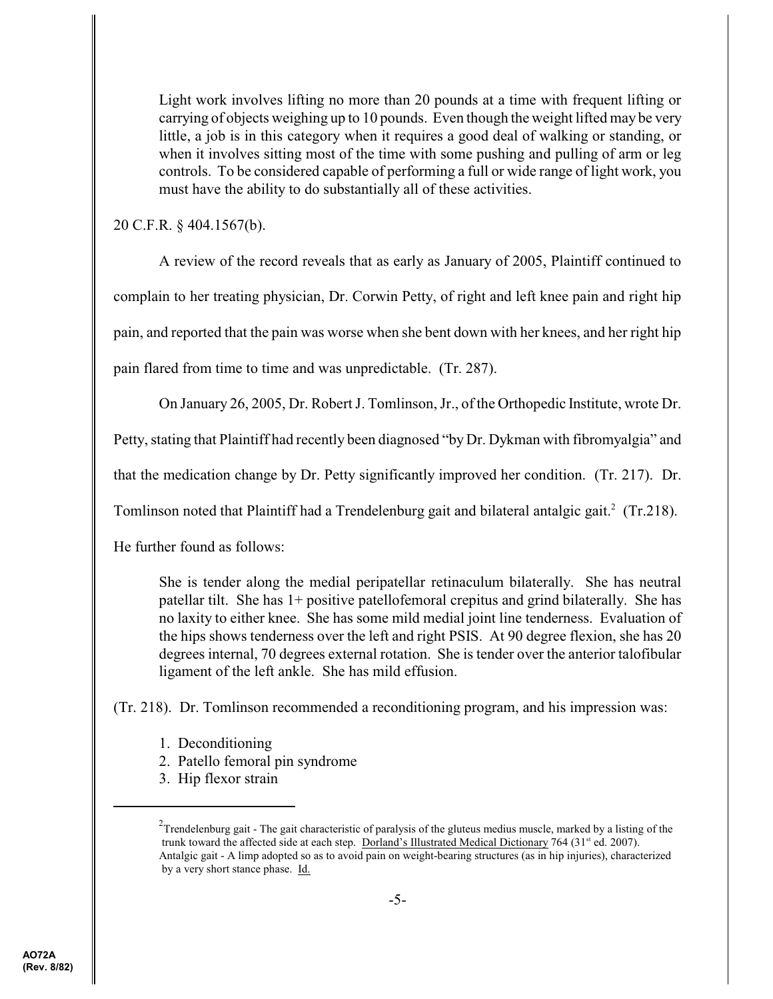Light work involves lifting no more than 20 pounds at a time with frequent lifting or carrying of objects weighing up to 10 pounds. Even though the weight lifted may be very little, a job is in this category when it requires a good deal of walking or standing, or when it involves sitting most of the time with some pushing and pulling of arm or leg controls. To be considered capable of performing a full or wide range of light work, you must have the ability to do substantially all of these activities.

20 C.F.R. § 404.1567(b).

A review of the record reveals that as early as January of 2005, Plaintiff continued to complain to her treating physician, Dr. Corwin Petty, of right and left knee pain and right hip pain, and reported that the pain was worse when she bent down with her knees, and her right hip pain flared from time to time and was unpredictable. (Tr. 287).

On January 26, 2005, Dr. Robert J. Tomlinson, Jr., of the Orthopedic Institute, wrote Dr.

Petty, stating that Plaintiff had recently been diagnosed "by Dr. Dykman with fibromyalgia" and

that the medication change by Dr. Petty significantly improved her condition. (Tr. 217). Dr.

Tomlinson noted that Plaintiff had a Trendelenburg gait and bilateral antalgic gait.<sup>2</sup> (Tr.218).

He further found as follows:

She is tender along the medial peripatellar retinaculum bilaterally. She has neutral patellar tilt. She has 1+ positive patellofemoral crepitus and grind bilaterally. She has no laxity to either knee. She has some mild medial joint line tenderness. Evaluation of the hips shows tenderness over the left and right PSIS. At 90 degree flexion, she has 20 degrees internal, 70 degrees external rotation. She is tender over the anterior talofibular ligament of the left ankle. She has mild effusion.

(Tr. 218). Dr. Tomlinson recommended a reconditioning program, and his impression was:

- 1. Deconditioning
- 2. Patello femoral pin syndrome
- 3. Hip flexor strain

<sup>&</sup>lt;sup>2</sup>Trendelenburg gait - The gait characteristic of paralysis of the gluteus medius muscle, marked by a listing of the trunk toward the affected side at each step. Dorland's Illustrated Medical Dictionary 764 (31<sup>st</sup> ed. 2007). Antalgic gait - A limp adopted so as to avoid pain on weight-bearing structures (as in hip injuries), characterized by a very short stance phase. Id.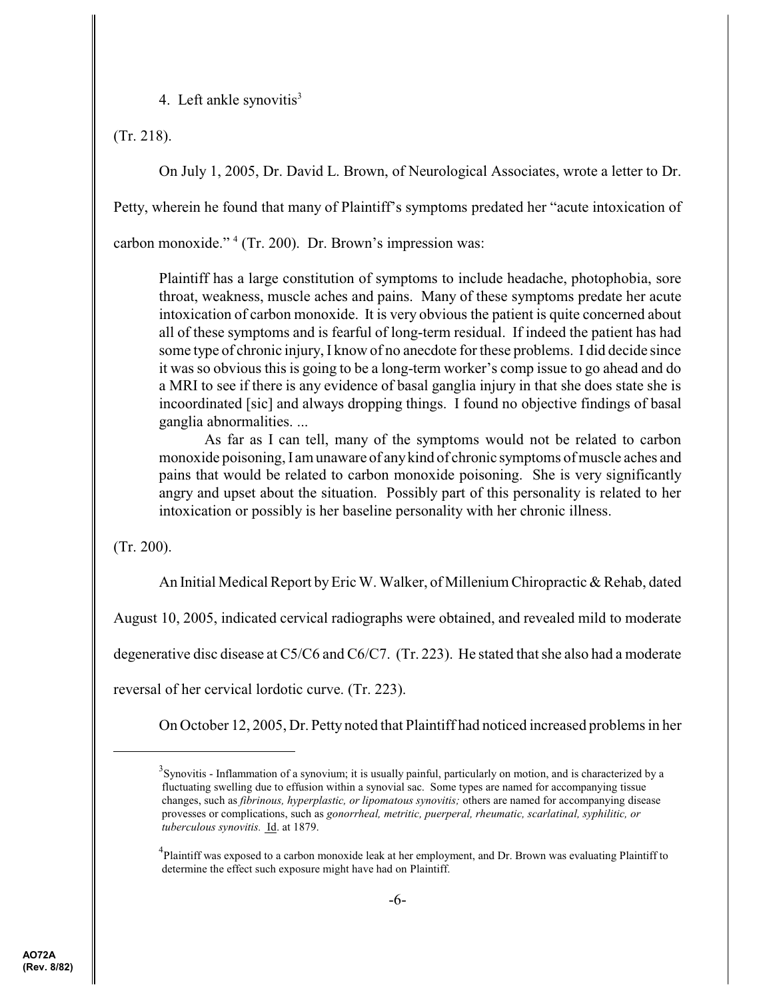4. Left ankle synovitis $3$ 

(Tr. 218).

On July 1, 2005, Dr. David L. Brown, of Neurological Associates, wrote a letter to Dr.

Petty, wherein he found that many of Plaintiff's symptoms predated her "acute intoxication of

carbon monoxide."  $4$  (Tr. 200). Dr. Brown's impression was:

Plaintiff has a large constitution of symptoms to include headache, photophobia, sore throat, weakness, muscle aches and pains. Many of these symptoms predate her acute intoxication of carbon monoxide. It is very obvious the patient is quite concerned about all of these symptoms and is fearful of long-term residual. If indeed the patient has had some type of chronic injury, I know of no anecdote for these problems. I did decide since it was so obvious this is going to be a long-term worker's comp issue to go ahead and do a MRI to see if there is any evidence of basal ganglia injury in that she does state she is incoordinated [sic] and always dropping things. I found no objective findings of basal ganglia abnormalities. ...

As far as I can tell, many of the symptoms would not be related to carbon monoxide poisoning, I am unaware of anykind of chronic symptoms of muscle aches and pains that would be related to carbon monoxide poisoning. She is very significantly angry and upset about the situation. Possibly part of this personality is related to her intoxication or possibly is her baseline personality with her chronic illness.

(Tr. 200).

An Initial Medical Report byEric W. Walker, of Millenium Chiropractic & Rehab, dated

August 10, 2005, indicated cervical radiographs were obtained, and revealed mild to moderate

degenerative disc disease at C5/C6 and C6/C7. (Tr. 223). He stated that she also had a moderate

reversal of her cervical lordotic curve. (Tr. 223).

On October 12, 2005, Dr. Petty noted that Plaintiff had noticed increased problems in her

 $3$ Synovitis - Inflammation of a synovium; it is usually painful, particularly on motion, and is characterized by a fluctuating swelling due to effusion within a synovial sac. Some types are named for accompanying tissue changes, such as *fibrinous, hyperplastic, or lipomatous synovitis;* others are named for accompanying disease provesses or complications, such as *gonorrheal, metritic, puerperal, rheumatic, scarlatinal, syphilitic, or tuberculous synovitis.* Id. at 1879.

<sup>&</sup>lt;sup>4</sup>Plaintiff was exposed to a carbon monoxide leak at her employment, and Dr. Brown was evaluating Plaintiff to determine the effect such exposure might have had on Plaintiff.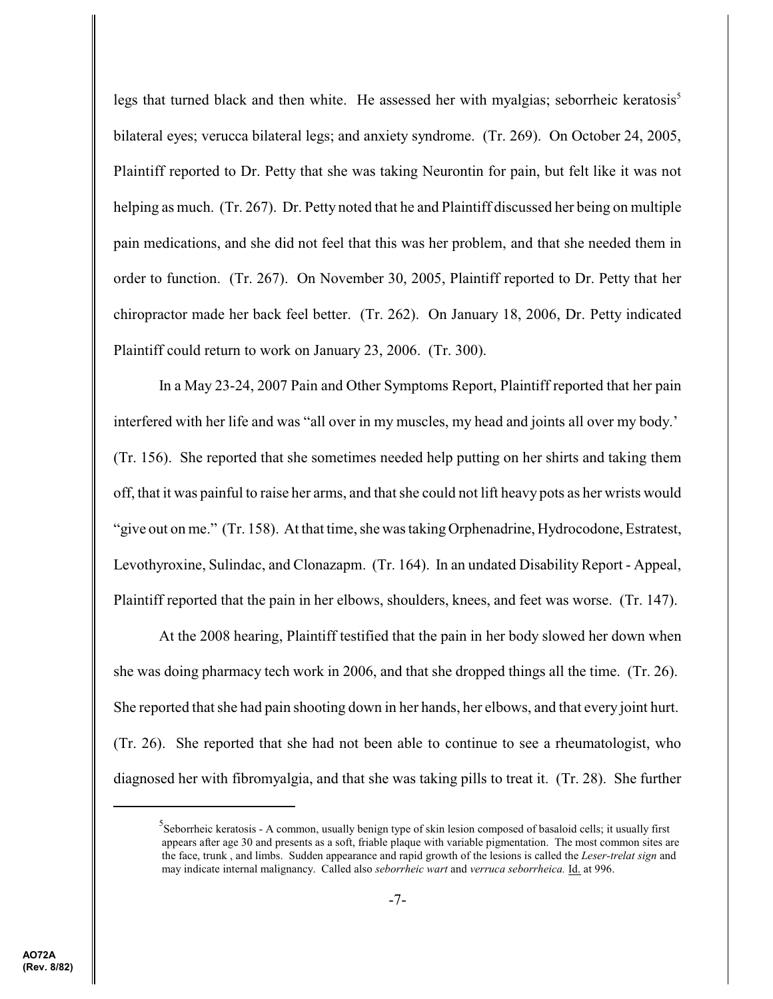legs that turned black and then white. He assessed her with myalgias; seborrheic keratosis<sup>5</sup> bilateral eyes; verucca bilateral legs; and anxiety syndrome. (Tr. 269). On October 24, 2005, Plaintiff reported to Dr. Petty that she was taking Neurontin for pain, but felt like it was not helping as much. (Tr. 267). Dr. Petty noted that he and Plaintiff discussed her being on multiple pain medications, and she did not feel that this was her problem, and that she needed them in order to function. (Tr. 267). On November 30, 2005, Plaintiff reported to Dr. Petty that her chiropractor made her back feel better. (Tr. 262). On January 18, 2006, Dr. Petty indicated Plaintiff could return to work on January 23, 2006. (Tr. 300).

In a May 23-24, 2007 Pain and Other Symptoms Report, Plaintiff reported that her pain interfered with her life and was "all over in my muscles, my head and joints all over my body.' (Tr. 156). She reported that she sometimes needed help putting on her shirts and taking them off, that it was painful to raise her arms, and that she could not lift heavy pots as her wrists would "give out on me." (Tr. 158). At that time, she was taking Orphenadrine, Hydrocodone, Estratest, Levothyroxine, Sulindac, and Clonazapm. (Tr. 164). In an undated Disability Report - Appeal, Plaintiff reported that the pain in her elbows, shoulders, knees, and feet was worse. (Tr. 147).

At the 2008 hearing, Plaintiff testified that the pain in her body slowed her down when she was doing pharmacy tech work in 2006, and that she dropped things all the time. (Tr. 26). She reported that she had pain shooting down in her hands, her elbows, and that every joint hurt. (Tr. 26). She reported that she had not been able to continue to see a rheumatologist, who diagnosed her with fibromyalgia, and that she was taking pills to treat it. (Tr. 28). She further

Seborrheic keratosis - A common, usually benign type of skin lesion composed of basaloid cells; it usually first appears after age 30 and presents as a soft, friable plaque with variable pigmentation. The most common sites are the face, trunk , and limbs. Sudden appearance and rapid growth of the lesions is called the *Leser-trelat sign* and may indicate internal malignancy. Called also *seborrheic wart* and *verruca seborrheica.* Id. at 996.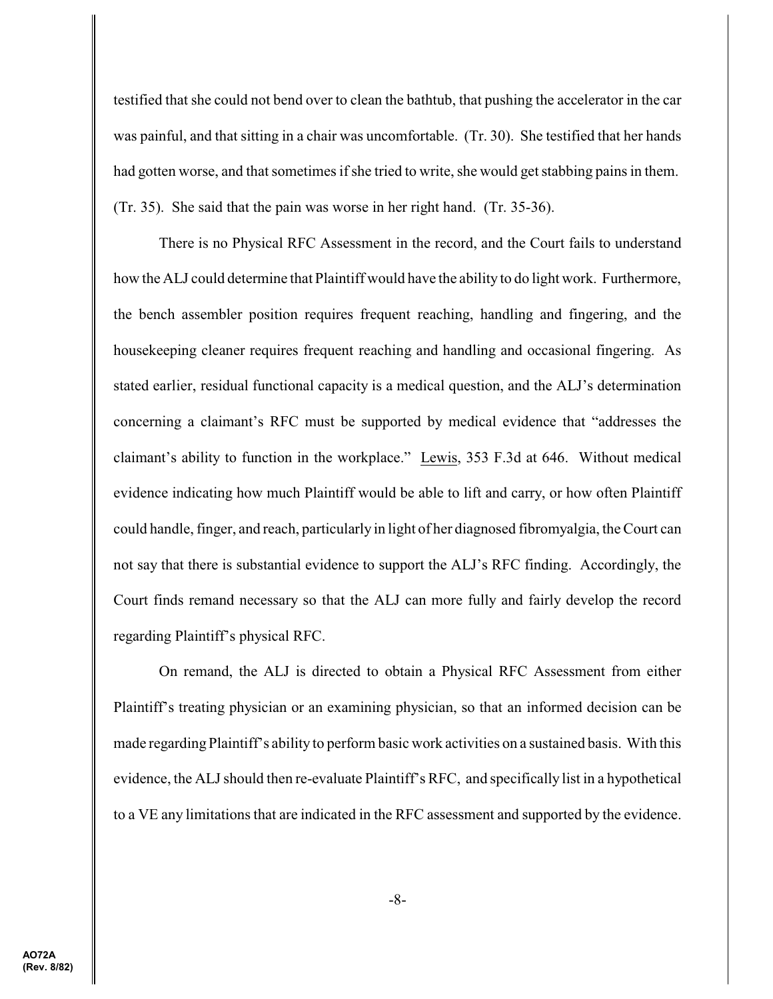testified that she could not bend over to clean the bathtub, that pushing the accelerator in the car was painful, and that sitting in a chair was uncomfortable. (Tr. 30). She testified that her hands had gotten worse, and that sometimes if she tried to write, she would get stabbing pains in them. (Tr. 35). She said that the pain was worse in her right hand. (Tr. 35-36).

There is no Physical RFC Assessment in the record, and the Court fails to understand how the ALJ could determine that Plaintiff would have the ability to do light work. Furthermore, the bench assembler position requires frequent reaching, handling and fingering, and the housekeeping cleaner requires frequent reaching and handling and occasional fingering. As stated earlier, residual functional capacity is a medical question, and the ALJ's determination concerning a claimant's RFC must be supported by medical evidence that "addresses the claimant's ability to function in the workplace." Lewis, 353 F.3d at 646. Without medical evidence indicating how much Plaintiff would be able to lift and carry, or how often Plaintiff could handle, finger, and reach, particularly in light of her diagnosed fibromyalgia, the Court can not say that there is substantial evidence to support the ALJ's RFC finding. Accordingly, the Court finds remand necessary so that the ALJ can more fully and fairly develop the record regarding Plaintiff's physical RFC.

On remand, the ALJ is directed to obtain a Physical RFC Assessment from either Plaintiff's treating physician or an examining physician, so that an informed decision can be made regarding Plaintiff's ability to perform basic work activities on a sustained basis. With this evidence, the ALJ should then re-evaluate Plaintiff's RFC, and specifically list in a hypothetical to a VE any limitations that are indicated in the RFC assessment and supported by the evidence.